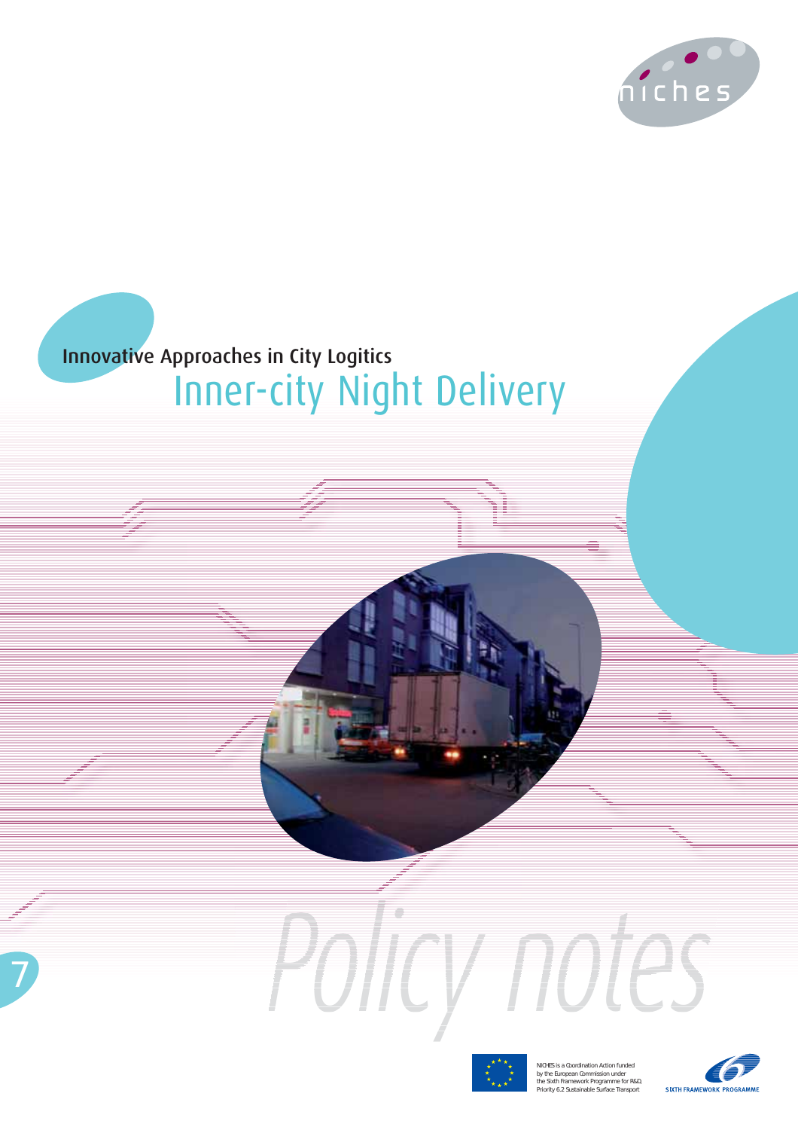

# **Innovative Approaches in City Logitics Inner-city Night Delivery**



Policy notes

NICHES is a Coordination Action funded<br>by the European Commission under<br>the Sixth Framework Programme for R&D,<br>Priority 6.2 Sustainable Surface Transport

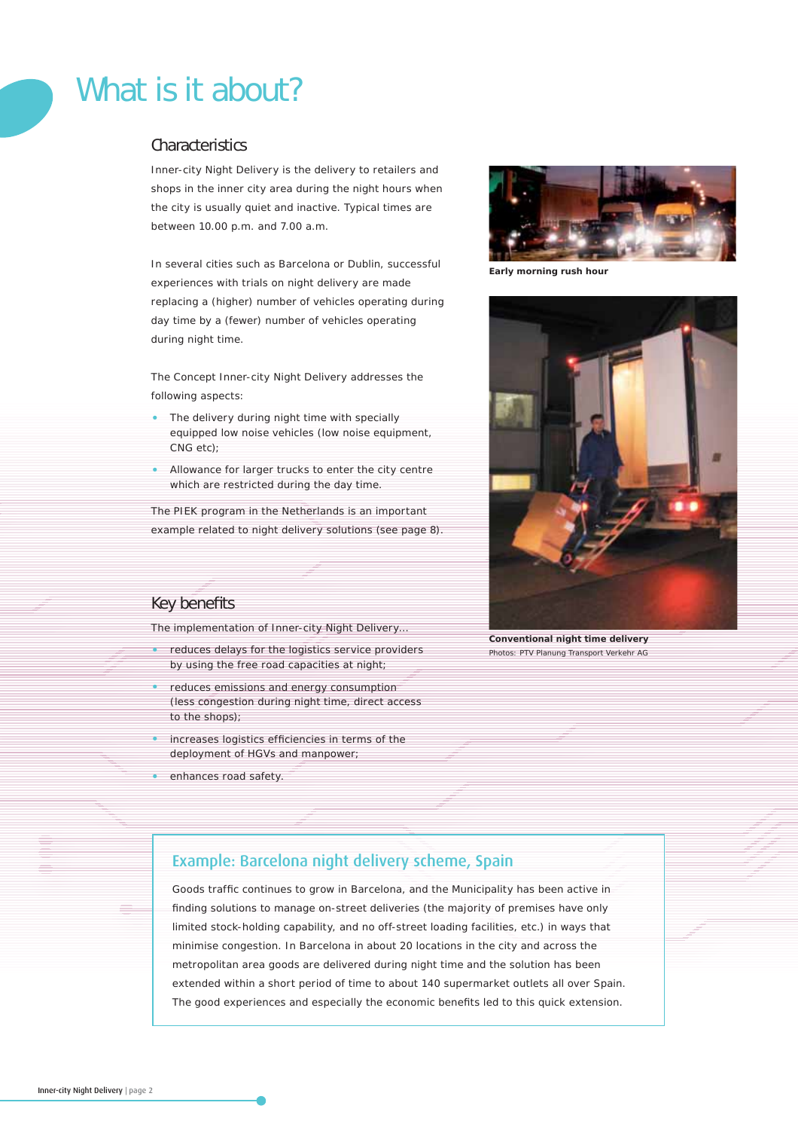# What is it about?

# **Characteristics**

Inner-city Night Delivery is the delivery to retailers and shops in the inner city area during the night hours when the city is usually quiet and inactive. Typical times are between 10.00 p.m. and 7.00 a.m.

In several cities such as Barcelona or Dublin, successful experiences with trials on night delivery are made replacing a (higher) number of vehicles operating during day time by a (fewer) number of vehicles operating during night time.

The Concept Inner-city Night Delivery addresses the following aspects:

- The delivery during night time with specially equipped low noise vehicles (low noise equipment, CNG etc);
- Allowance for larger trucks to enter the city centre which are restricted during the day time.

The PIEK program in the Netherlands is an important example related to night delivery solutions (see page 8).



*Early morning rush hour*



*Conventional night time delivery* Photos: PTV Planung Transport Verkehr AG

# Key benefits

The implementation of Inner-city Night Delivery…

- reduces delays for the logistics service providers by using the free road capacities at night;
- reduces emissions and energy consumption (less congestion during night time, direct access to the shops);
- increases logistics efficiencies in terms of the deployment of HGVs and manpower;
- enhances road safety.

# Example: Barcelona night delivery scheme, Spain

Goods traffic continues to grow in Barcelona, and the Municipality has been active in finding solutions to manage on-street deliveries (the majority of premises have only limited stock-holding capability, and no off-street loading facilities, etc.) in ways that minimise congestion. In Barcelona in about 20 locations in the city and across the metropolitan area goods are delivered during night time and the solution has been extended within a short period of time to about 140 supermarket outlets all over Spain. The good experiences and especially the economic benefits led to this quick extension.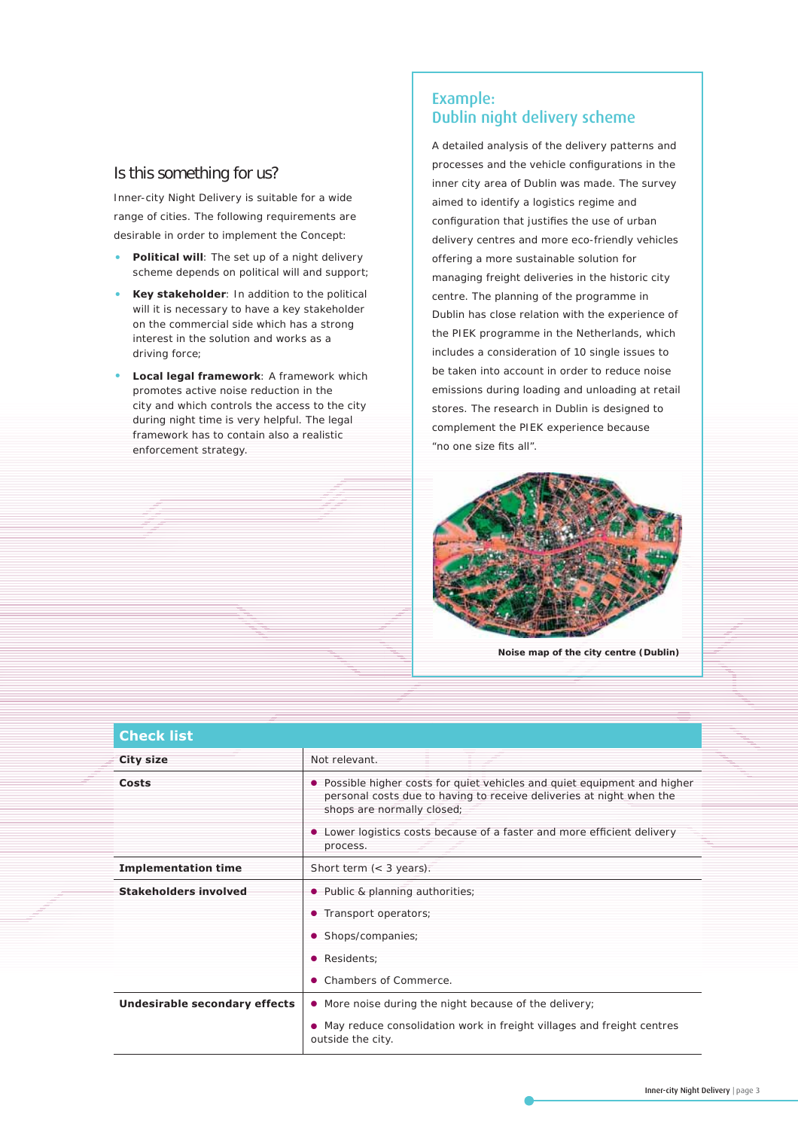# Is this something for us?

Inner-city Night Delivery is suitable for a wide range of cities. The following requirements are desirable in order to implement the Concept:

- Political will: The set up of a night delivery scheme depends on political will and support;
- **Key stakeholder**: In addition to the political will it is necessary to have a key stakeholder on the commercial side which has a strong interest in the solution and works as a driving force;
- **Local legal framework**: A framework which promotes active noise reduction in the city and which controls the access to the city during night time is very helpful. The legal framework has to contain also a realistic enforcement strategy.

# Example: Dublin night delivery scheme

A detailed analysis of the delivery patterns and processes and the vehicle configurations in the inner city area of Dublin was made. The survey aimed to identify a logistics regime and configuration that justifies the use of urban delivery centres and more eco-friendly vehicles offering a more sustainable solution for managing freight deliveries in the historic city centre. The planning of the programme in Dublin has close relation with the experience of the PIEK programme in the Netherlands, which includes a consideration of 10 single issues to be taken into account in order to reduce noise emissions during loading and unloading at retail stores. The research in Dublin is designed to complement the PIEK experience because "no one size fits all".



*Noise map of the city centre (Dublin)*

| <b>Check list</b>             |                                                                                                                                                                               |
|-------------------------------|-------------------------------------------------------------------------------------------------------------------------------------------------------------------------------|
| <b>City size</b>              | Not relevant.                                                                                                                                                                 |
| Costs                         | Possible higher costs for quiet vehicles and quiet equipment and higher<br>personal costs due to having to receive deliveries at night when the<br>shops are normally closed; |
|                               | Lower logistics costs because of a faster and more efficient delivery<br>process.                                                                                             |
| <b>Implementation time</b>    | Short term $\left( < 3 \right)$ years).                                                                                                                                       |
| <b>Stakeholders involved</b>  | • Public & planning authorities;                                                                                                                                              |
|                               | Transport operators;<br>۰                                                                                                                                                     |
|                               | Shops/companies;<br>$\bullet$                                                                                                                                                 |
|                               | Residents;<br>$\bullet$                                                                                                                                                       |
|                               | Chambers of Commerce                                                                                                                                                          |
| Undesirable secondary effects | • More noise during the night because of the delivery;                                                                                                                        |
|                               | • May reduce consolidation work in freight villages and freight centres<br>outside the city.                                                                                  |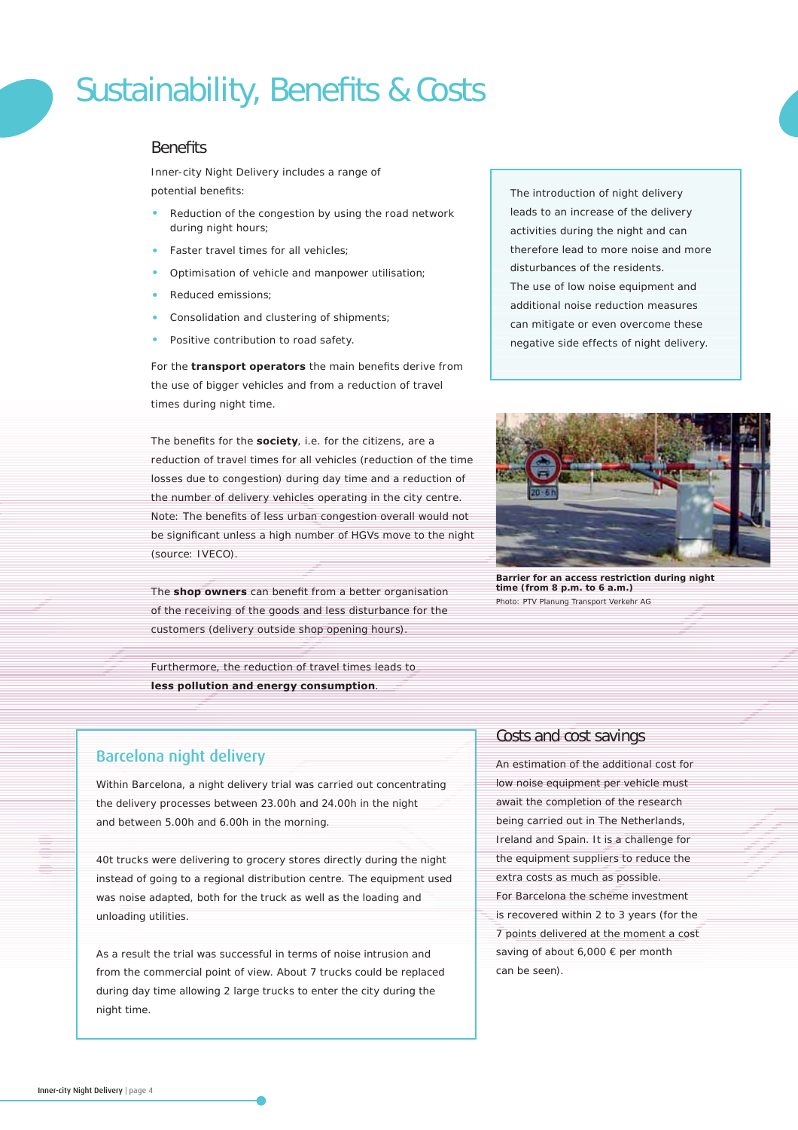# Sustainability, Benefits & Costs

# **Benefits**

Inner-city Night Delivery includes a range of potential benefits:

- Reduction of the congestion by using the road network during night hours;
- Faster travel times for all vehicles;
- Optimisation of vehicle and manpower utilisation;
- Reduced emissions;
- Consolidation and clustering of shipments;
- Positive contribution to road safety.

For the **transport operators** the main benefits derive from the use of bigger vehicles and from a reduction of travel times during night time.

The benefits for the **society**, i.e. for the citizens, are a reduction of travel times for all vehicles (reduction of the time losses due to congestion) during day time and a reduction of the number of delivery vehicles operating in the city centre. Note: The benefits of less urban congestion overall would not be significant unless a high number of HGVs move to the night (source: IVECO).

The **shop owners** can benefit from a better organisation of the receiving of the goods and less disturbance for the customers (delivery outside shop opening hours).

Furthermore, the reduction of travel times leads to **less pollution and energy consumption**.

The introduction of night delivery leads to an increase of the delivery activities during the night and can therefore lead to more noise and more disturbances of the residents. The use of low noise equipment and additional noise reduction measures can mitigate or even overcome these negative side effects of night delivery.



*Barrier for an access restriction during night time (from 8 p.m. to 6 a.m.)* Photo: PTV Planung Transport Verkehr AG

# Barcelona night delivery

Within Barcelona, a night delivery trial was carried out concentrating the delivery processes between 23.00h and 24.00h in the night and between 5.00h and 6.00h in the morning.

40t trucks were delivering to grocery stores directly during the night instead of going to a regional distribution centre. The equipment used was noise adapted, both for the truck as well as the loading and unloading utilities.

As a result the trial was successful in terms of noise intrusion and from the commercial point of view. About 7 trucks could be replaced during day time allowing 2 large trucks to enter the city during the night time.

# Costs and cost savings

An estimation of the additional cost for low noise equipment per vehicle must await the completion of the research being carried out in The Netherlands, Ireland and Spain. It is a challenge for the equipment suppliers to reduce the extra costs as much as possible.

For Barcelona the scheme investment is recovered within 2 to 3 years (for the 7 points delivered at the moment a cost saving of about 6,000 € per month can be seen).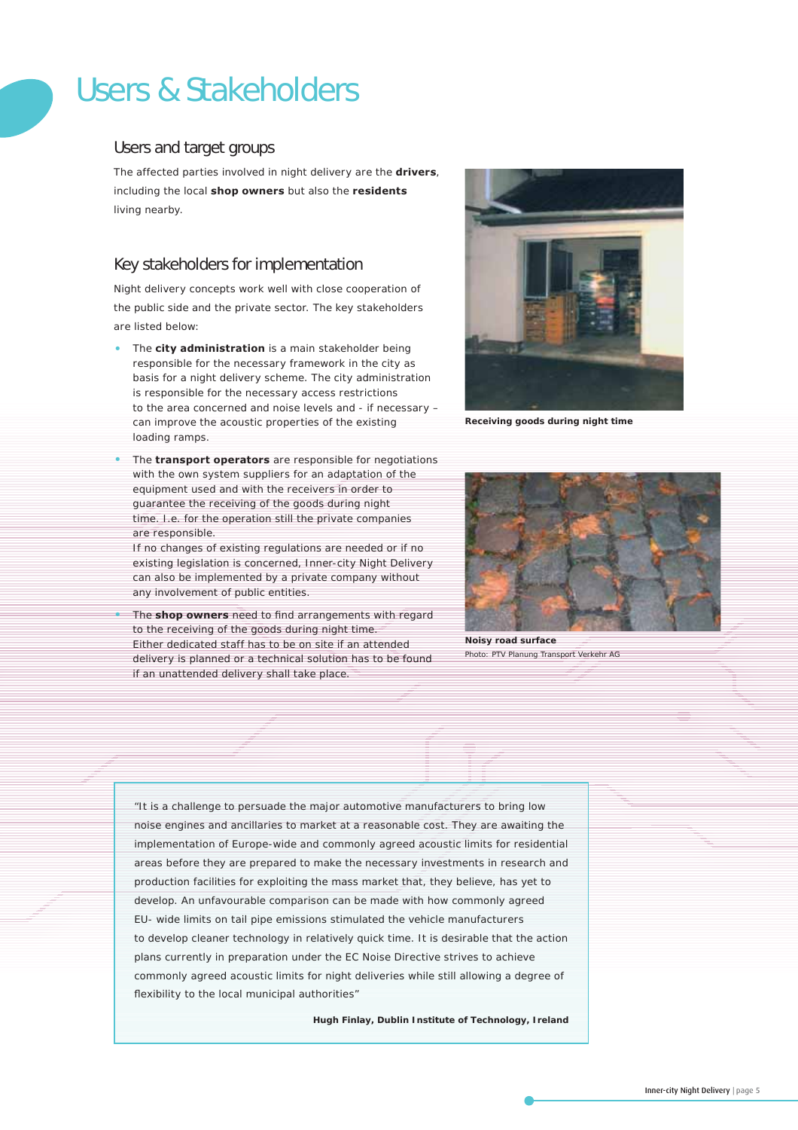# Users & Stakeholders

# Users and target groups

The affected parties involved in night delivery are the **drivers**, including the local **shop owners** but also the **residents** living nearby.

# Key stakeholders for implementation

Night delivery concepts work well with close cooperation of the public side and the private sector. The key stakeholders are listed below:

- The **city administration** is a main stakeholder being responsible for the necessary framework in the city as basis for a night delivery scheme. The city administration is responsible for the necessary access restrictions to the area concerned and noise levels and - if necessary – can improve the acoustic properties of the existing loading ramps.
- The **transport operators** are responsible for negotiations with the own system suppliers for an adaptation of the equipment used and with the receivers in order to guarantee the receiving of the goods during night time. I.e. for the operation still the private companies are responsible.

If no changes of existing regulations are needed or if no existing legislation is concerned, Inner-city Night Delivery can also be implemented by a private company without any involvement of public entities.

The **shop owners** need to find arrangements with regard to the receiving of the goods during night time. Either dedicated staff has to be on site if an attended delivery is planned or a technical solution has to be found if an unattended delivery shall take place.



*Receiving goods during night time*



*Noisy road surface* Photo: PTV Planung Transport Verkehr AG

"It is a challenge to persuade the major automotive manufacturers to bring low noise engines and ancillaries to market at a reasonable cost. They are awaiting the implementation of Europe-wide and commonly agreed acoustic limits for residential areas before they are prepared to make the necessary investments in research and production facilities for exploiting the mass market that, they believe, has yet to develop. An unfavourable comparison can be made with how commonly agreed EU- wide limits on tail pipe emissions stimulated the vehicle manufacturers to develop cleaner technology in relatively quick time. It is desirable that the action plans currently in preparation under the EC Noise Directive strives to achieve commonly agreed acoustic limits for night deliveries while still allowing a degree of flexibility to the local municipal authorities"

*Hugh Finlay, Dublin Institute of Technology, Ireland*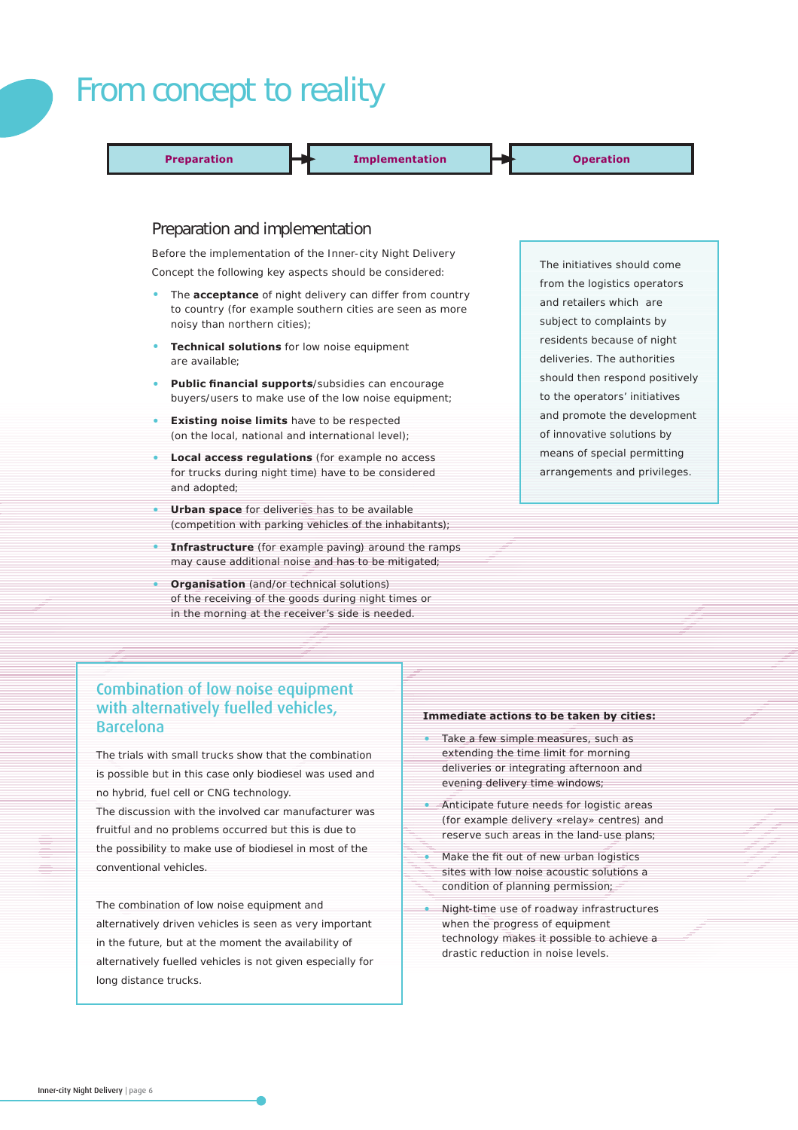# From concept to reality

**Preparation Implementation Indementation Indemetries Operation** 

### Preparation and implementation

Before the implementation of the Inner-city Night Delivery Concept the following key aspects should be considered:

- The **acceptance** of night delivery can differ from country to country (for example southern cities are seen as more noisy than northern cities);
- **Technical solutions** for low noise equipment are available;
- Public financial supports/subsidies can encourage buyers/users to make use of the low noise equipment;
- **Existing noise limits** have to be respected (on the local, national and international level);
- **Local access regulations** (for example no access for trucks during night time) have to be considered and adopted;
- **Urban space** for deliveries has to be available (competition with parking vehicles of the inhabitants);
- **Infrastructure** (for example paving) around the ramps may cause additional noise and has to be mitigated;
- **Organisation** (and/or technical solutions) of the receiving of the goods during night times or in the morning at the receiver's side is needed.

# The initiatives should come from the logistics operators and retailers which are subject to complaints by residents because of night deliveries. The authorities should then respond positively to the operators' initiatives and promote the development of innovative solutions by means of special permitting arrangements and privileges.

# Combination of low noise equipment with alternatively fuelled vehicles, Barcelona

The trials with small trucks show that the combination is possible but in this case only biodiesel was used and no hybrid, fuel cell or CNG technology.

The discussion with the involved car manufacturer was fruitful and no problems occurred but this is due to the possibility to make use of biodiesel in most of the conventional vehicles.

The combination of low noise equipment and alternatively driven vehicles is seen as very important in the future, but at the moment the availability of alternatively fuelled vehicles is not given especially for long distance trucks.

#### **Immediate actions to be taken by cities:**

- Take a few simple measures, such as extending the time limit for morning deliveries or integrating afternoon and evening delivery time windows;
- Anticipate future needs for logistic areas (for example delivery «relay» centres) and reserve such areas in the land-use plans;
- Make the fit out of new urban logistics sites with low noise acoustic solutions a condition of planning permission;
- Night-time use of roadway infrastructures when the progress of equipment technology makes it possible to achieve a drastic reduction in noise levels.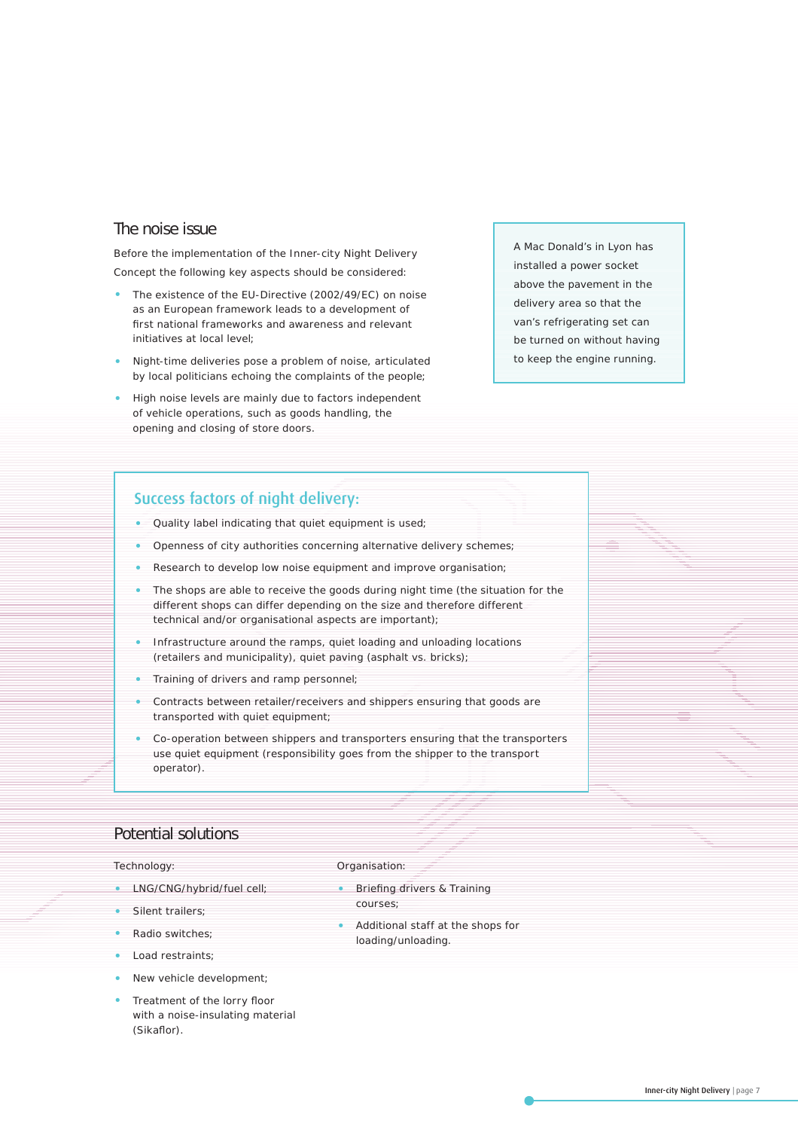# The noise issue

Before the implementation of the Inner-city Night Delivery Concept the following key aspects should be considered:

- The existence of the EU-Directive (2002/49/EC) on noise as an European framework leads to a development of first national frameworks and awareness and relevant initiatives at local level;
- Night-time deliveries pose a problem of noise, articulated by local politicians echoing the complaints of the people;
- High noise levels are mainly due to factors independent of vehicle operations, such as goods handling, the opening and closing of store doors.

A Mac Donald's in Lyon has installed a power socket above the pavement in the delivery area so that the van's refrigerating set can be turned on without having to keep the engine running.

# Success factors of night delivery:

- Quality label indicating that quiet equipment is used;
- Openness of city authorities concerning alternative delivery schemes;
- Research to develop low noise equipment and improve organisation;
- The shops are able to receive the goods during night time (the situation for the different shops can differ depending on the size and therefore different technical and/or organisational aspects are important);
- Infrastructure around the ramps, quiet loading and unloading locations (retailers and municipality), quiet paving (asphalt vs. bricks);
- Training of drivers and ramp personnel;
- Contracts between retailer/receivers and shippers ensuring that goods are transported with quiet equipment;
- Co-operation between shippers and transporters ensuring that the transporters use quiet equipment (responsibility goes from the shipper to the transport operator).

### Potential solutions

#### *Technology:*

- LNG/CNG/hybrid/fuel cell;
- Silent trailers;
- Radio switches;
- Load restraints;
- New vehicle development;
- Treatment of the lorry floor with a noise-insulating material (Sikaflor).

#### *Organisation:*

- Briefing drivers & Training courses;
- Additional staff at the shops for loading/unloading.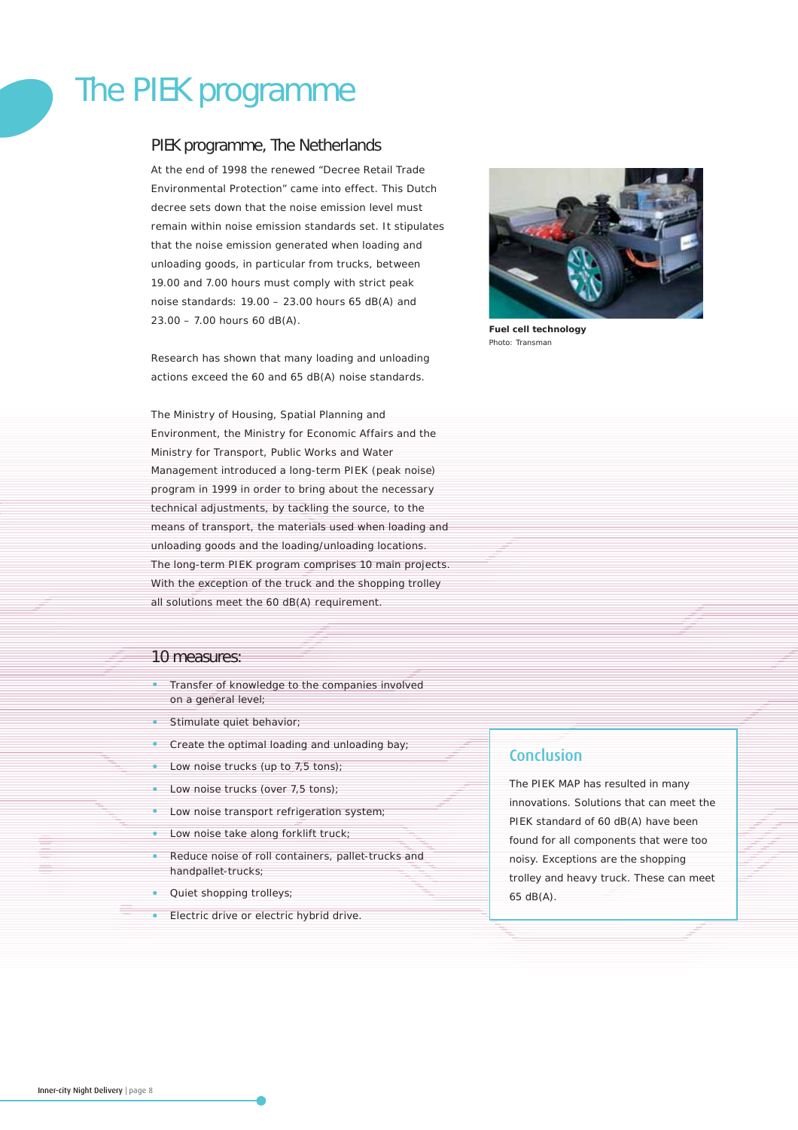# The PIEK programme

# PIEK programme, The Netherlands

At the end of 1998 the renewed "Decree Retail Trade Environmental Protection" came into effect. This Dutch decree sets down that the noise emission level must remain within noise emission standards set. It stipulates that the noise emission generated when loading and unloading goods, in particular from trucks, between 19.00 and 7.00 hours must comply with strict peak noise standards: 19.00 – 23.00 hours 65 dB(A) and 23.00 – 7.00 hours 60 dB(A).

Research has shown that many loading and unloading actions exceed the 60 and 65 dB(A) noise standards.

The Ministry of Housing, Spatial Planning and Environment, the Ministry for Economic Affairs and the Ministry for Transport, Public Works and Water Management introduced a long-term PIEK (peak noise) program in 1999 in order to bring about the necessary technical adjustments, by tackling the source, to the means of transport, the materials used when loading and unloading goods and the loading/unloading locations. The long-term PIEK program comprises 10 main projects. With the exception of the truck and the shopping trolley all solutions meet the 60 dB(A) requirement.

### 10 measures:

- Transfer of knowledge to the companies involved on a general level;
- Stimulate quiet behavior;
- Create the optimal loading and unloading bay;
- Low noise trucks (up to 7,5 tons);
- Low noise trucks (over 7,5 tons);
- Low noise transport refrigeration system;
- Low noise take along forklift truck;
- Reduce noise of roll containers, pallet-trucks and handpallet-trucks;
- Quiet shopping trolleys;
- Electric drive or electric hybrid drive.



*Fuel cell technology* Photo: Transman

### Conclusion

The PIEK MAP has resulted in many innovations. Solutions that can meet the PIEK standard of 60 dB(A) have been found for all components that were too noisy. Exceptions are the shopping trolley and heavy truck. These can meet 65 dB(A).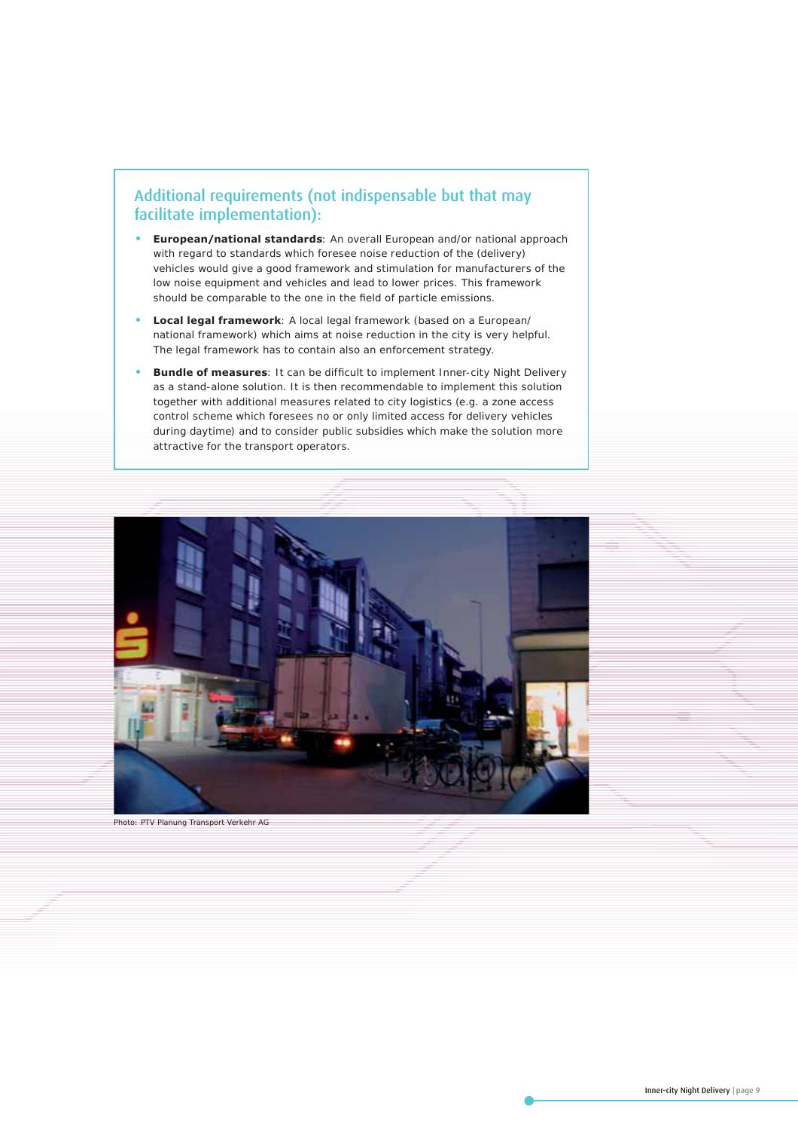# Additional requirements (not indispensable but that may facilitate implementation):

- **European/national standards**: An overall European and/or national approach with regard to standards which foresee noise reduction of the (delivery) vehicles would give a good framework and stimulation for manufacturers of the low noise equipment and vehicles and lead to lower prices. This framework should be comparable to the one in the field of particle emissions.
- **Local legal framework**: A local legal framework (based on a European/ national framework) which aims at noise reduction in the city is very helpful. The legal framework has to contain also an enforcement strategy.
- **Bundle of measures**: It can be difficult to implement Inner-city Night Delivery as a stand-alone solution. It is then recommendable to implement this solution together with additional measures related to city logistics (e.g. a zone access control scheme which foresees no or only limited access for delivery vehicles during daytime) and to consider public subsidies which make the solution more attractive for the transport operators.



Photo: PTV Planung Transport Verkehr AG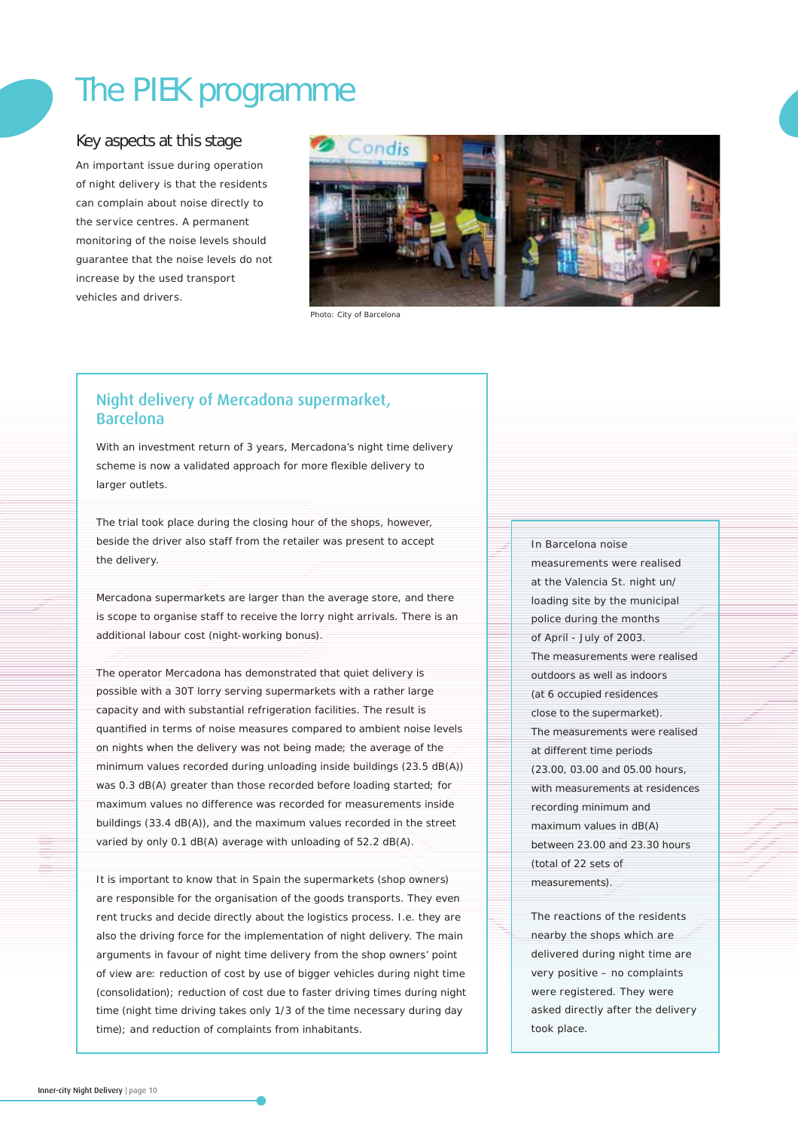# The PIEK programme

# Key aspects at this stage

An important issue during operation of night delivery is that the residents can complain about noise directly to the service centres. A permanent monitoring of the noise levels should guarantee that the noise levels do not increase by the used transport vehicles and drivers.



Photo: City of Barcelona

# Night delivery of Mercadona supermarket, Barcelona

With an investment return of 3 years, Mercadona's night time delivery scheme is now a validated approach for more flexible delivery to larger outlets.

The trial took place during the closing hour of the shops, however, beside the driver also staff from the retailer was present to accept the delivery.

Mercadona supermarkets are larger than the average store, and there is scope to organise staff to receive the lorry night arrivals. There is an additional labour cost (night-working bonus).

The operator Mercadona has demonstrated that quiet delivery is possible with a 30T lorry serving supermarkets with a rather large capacity and with substantial refrigeration facilities. The result is quantified in terms of noise measures compared to ambient noise levels on nights when the delivery was not being made; the average of the minimum values recorded during unloading inside buildings (23.5 dB(A)) was 0.3 dB(A) greater than those recorded before loading started; for maximum values no difference was recorded for measurements inside buildings (33.4 dB(A)), and the maximum values recorded in the street varied by only 0.1 dB(A) average with unloading of 52.2 dB(A).

It is important to know that in Spain the supermarkets (shop owners) are responsible for the organisation of the goods transports. They even rent trucks and decide directly about the logistics process. I.e. they are also the driving force for the implementation of night delivery. The main arguments in favour of night time delivery from the shop owners' point of view are: reduction of cost by use of bigger vehicles during night time (consolidation); reduction of cost due to faster driving times during night time (night time driving takes only 1/3 of the time necessary during day time); and reduction of complaints from inhabitants.

#### In Barcelona noise

measurements were realised at the Valencia St. night un/ loading site by the municipal police during the months of April - July of 2003. The measurements were realised outdoors as well as indoors (at 6 occupied residences close to the supermarket). The measurements were realised at different time periods (23.00, 03.00 and 05.00 hours, with measurements at residences recording minimum and maximum values in dB(A) between 23.00 and 23.30 hours (total of 22 sets of measurements).

The reactions of the residents nearby the shops which are delivered during night time are very positive – no complaints were registered. They were asked directly after the delivery took place.